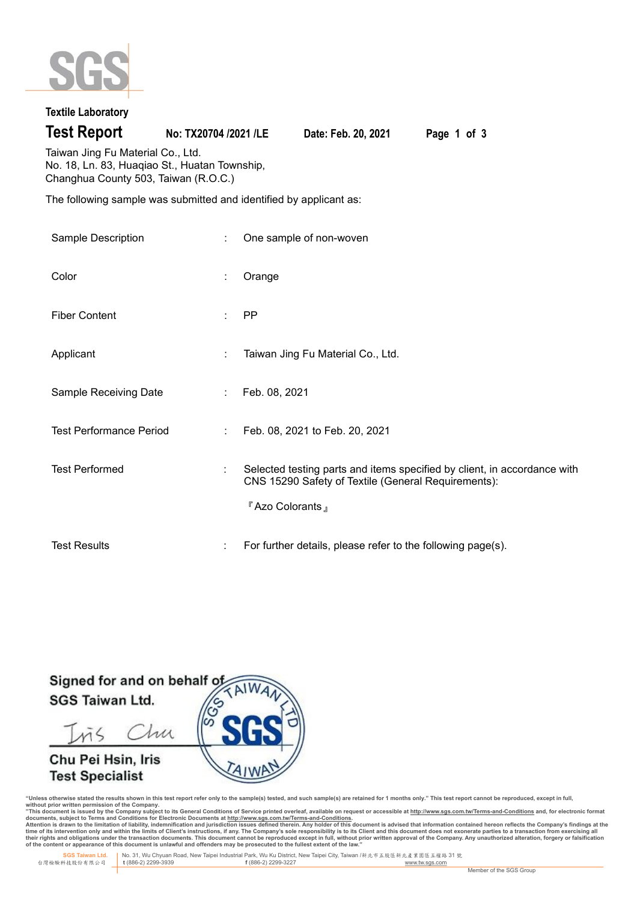

## **Textile Laboratory**

**Test Report No: TX20704 /2021 /LE Date: Feb. 20, 2021 Page 1 of 3**

Taiwan Jing Fu Material Co., Ltd. No. 18, Ln. 83, Huaqiao St., Huatan Township, Changhua County 503, Taiwan (R.O.C.)

The following sample was submitted and identified by applicant as:

| Sample Description             | ÷  | One sample of non-woven                                                                                                                           |
|--------------------------------|----|---------------------------------------------------------------------------------------------------------------------------------------------------|
| Color                          | ÷  | Orange                                                                                                                                            |
| <b>Fiber Content</b>           | ÷  | <b>PP</b>                                                                                                                                         |
| Applicant                      | ÷  | Taiwan Jing Fu Material Co., Ltd.                                                                                                                 |
| Sample Receiving Date          | ÷. | Feb. 08, 2021                                                                                                                                     |
| <b>Test Performance Period</b> | ÷  | Feb. 08, 2021 to Feb. 20, 2021                                                                                                                    |
| <b>Test Performed</b>          | t  | Selected testing parts and items specified by client, in accordance with<br>CNS 15290 Safety of Textile (General Requirements):<br>FAzo Colorants |
| <b>Test Results</b>            | ÷  | For further details, please refer to the following page(s).                                                                                       |

Signed for and on behalf o **SGS Taiwan Ltd.** 

Chu  $\tilde{M}$ 

# Chu Pei Hsin, Iris **Test Specialist**



"Unless otherwise stated the results shown in this test report refer only to the sample(s) tested, and such sample(s) are retained for 1 months only." This test report cannot be reproduced, except in full,<br>without prior wr

documents, subject to Terms and Conditions for Electronic Documents at <u>http://www.sqs.com.tw/Terms-and-Conditions</u><br>Attention is drawn to the limitation of liability, indemnification and jurisdiction issues defined threin.

 **SGS Taiwan Ltd.** No. 31, Wu Chyuan Road, New Taipei Industrial Park, Wu Ku District, New Taipei City, Taiwan /新北市五股區新北產業園區五權路 31 號 台灣檢驗科技股份有限公司 **t** (886-2) 2299-3939 **f** (886-2) 2299-3227 www.tw.sgs.com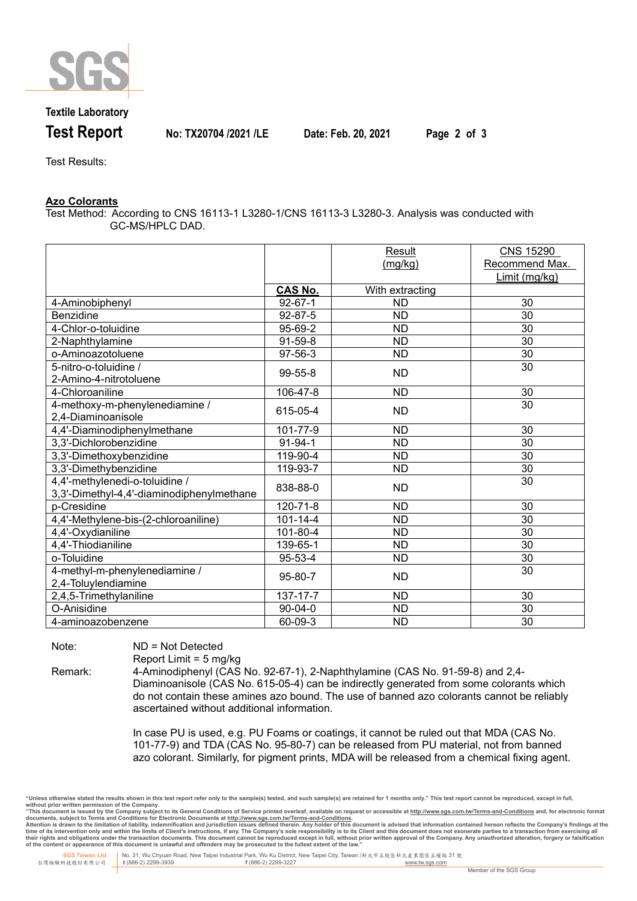

**Textile Laboratory**

**Test Report No: TX20704 /2021 /LE Date: Feb. 20, 2021 Page 2 of 3**

Test Results:

### **Azo Colorants**

Test Method: According to CNS 16113-1 L3280-1/CNS 16113-3 L3280-3. Analysis was conducted with GC-MS/HPLC DAD.

|                                           |                | Result          | <b>CNS 15290</b> |
|-------------------------------------------|----------------|-----------------|------------------|
|                                           |                | (mg/kg)         | Recommend Max.   |
|                                           |                |                 | Limit (mg/kg)    |
|                                           | <b>CAS No.</b> | With extracting |                  |
| 4-Aminobiphenyl                           | $92 - 67 - 1$  | <b>ND</b>       | 30               |
| Benzidine                                 | 92-87-5        | ND              | 30               |
| 4-Chlor-o-toluidine                       | 95-69-2        | <b>ND</b>       | 30               |
| 2-Naphthylamine                           | $91-59-8$      | <b>ND</b>       | 30               |
| o-Aminoazotoluene                         | 97-56-3        | ND              | 30               |
| 5-nitro-o-toluidine /                     | 99-55-8        | ND              | 30               |
| 2-Amino-4-nitrotoluene                    |                |                 |                  |
| 4-Chloroaniline                           | 106-47-8       | <b>ND</b>       | 30               |
| 4-methoxy-m-phenylenediamine /            | 615-05-4       | <b>ND</b>       | 30               |
| 2,4-Diaminoanisole                        |                |                 |                  |
| 4,4'-Diaminodiphenylmethane               | 101-77-9       | <b>ND</b>       | 30               |
| 3,3'-Dichlorobenzidine                    | 91-94-1        | <b>ND</b>       | 30               |
| 3,3'-Dimethoxybenzidine                   | 119-90-4       | <b>ND</b>       | 30               |
| 3,3'-Dimethybenzidine                     | 119-93-7       | <b>ND</b>       | 30               |
| 4,4'-methylenedi-o-toluidine /            | 838-88-0       | <b>ND</b>       | 30               |
| 3,3'-Dimethyl-4,4'-diaminodiphenylmethane |                |                 |                  |
| p-Cresidine                               | 120-71-8       | <b>ND</b>       | 30               |
| 4,4'-Methylene-bis-(2-chloroaniline)      | $101 - 14 - 4$ | <b>ND</b>       | 30               |
| 4,4'-Oxydianiline                         | 101-80-4       | <b>ND</b>       | 30               |
| 4,4'-Thiodianiline                        | 139-65-1       | <b>ND</b>       | 30               |
| o-Toluidine                               | 95-53-4        | <b>ND</b>       | 30               |
| 4-methyl-m-phenylenediamine /             | 95-80-7        | ND              | 30               |
| 2,4-Toluylendiamine                       |                |                 |                  |
| 2,4,5-Trimethylaniline                    | $137 - 17 - 7$ | <b>ND</b>       | 30               |
| O-Anisidine                               | $90 - 04 - 0$  | <b>ND</b>       | 30               |
| 4-aminoazobenzene                         | 60-09-3        | <b>ND</b>       | 30               |

Note: ND = Not Detected

Report Limit = 5 mg/kg

Remark: 4-Aminodiphenyl (CAS No. 92-67-1), 2-Naphthylamine (CAS No. 91-59-8) and 2,4- Diaminoanisole (CAS No. 615-05-4) can be indirectly generated from some colorants which do not contain these amines azo bound. The use of banned azo colorants cannot be reliably ascertained without additional information.

> In case PU is used, e.g. PU Foams or coatings, it cannot be ruled out that MDA (CAS No. 101-77-9) and TDA (CAS No. 95-80-7) can be released from PU material, not from banned azo colorant. Similarly, for pigment prints, MDA will be released from a chemical fixing agent.

"Unless otherwise stated the results shown in this test report refer only to the sample(s) tested, and such sample(s) are retained for 1 months only." This test report cannot be reproduced, except in full,<br>without prior wr

documents, subject to Terms and Conditions for Electronic Documents at <u>http://www.sqs.com.tw/Terms-and-Conditions</u><br>Attention is drawn to the limitation of liability, indemnification and jurisdiction issues defined threin.